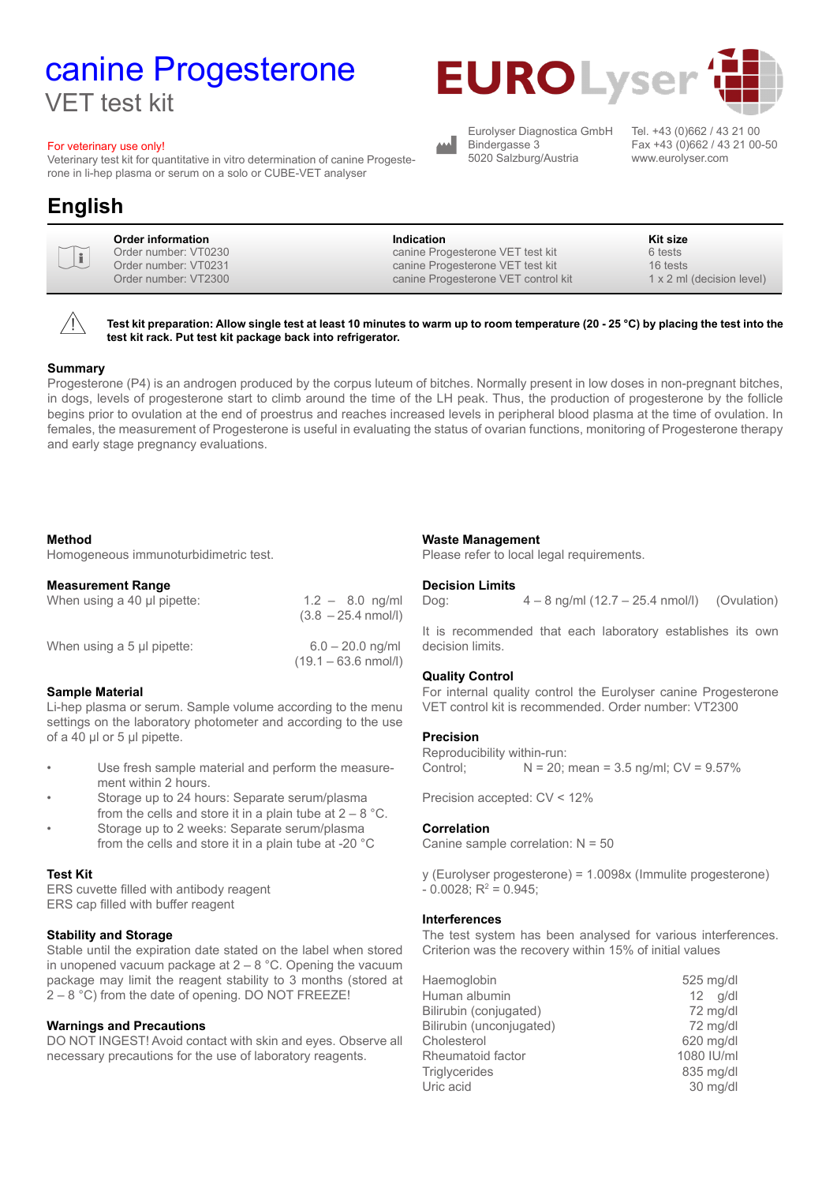# canine Progesterone VET test kit

#### For veterinary use only!

Veterinary test kit for quantitative in vitro determination of canine Progesterone in li-hep plasma or serum on a solo or CUBE-VET analyser

## **English**

| $\textcolor{red}{\textbf{u}}$<br>6 tests<br>Order number: VT0230<br>canine Progesterone VET test kit<br>Order number: VT0231<br>16 tests<br>canine Progesterone VET test kit<br>Order number: VT2300<br>canine Progesterone VET control kit |  | Order information | <b>Indication</b> | Kit size<br>$1 \times 2$ ml (decision level) |  |
|---------------------------------------------------------------------------------------------------------------------------------------------------------------------------------------------------------------------------------------------|--|-------------------|-------------------|----------------------------------------------|--|
|---------------------------------------------------------------------------------------------------------------------------------------------------------------------------------------------------------------------------------------------|--|-------------------|-------------------|----------------------------------------------|--|



**Test kit preparation: Allow single test at least 10 minutes to warm up to room temperature (20 - 25 °C) by placing the test into the test kit rack. Put test kit package back into refrigerator.**

#### **Summary**

Progesterone (P4) is an androgen produced by the corpus luteum of bitches. Normally present in low doses in non-pregnant bitches, in dogs, levels of progesterone start to climb around the time of the LH peak. Thus, the production of progesterone by the follicle begins prior to ovulation at the end of proestrus and reaches increased levels in peripheral blood plasma at the time of ovulation. In females, the measurement of Progesterone is useful in evaluating the status of ovarian functions, monitoring of Progesterone therapy and early stage pregnancy evaluations.

#### **Method**

Homogeneous immunoturbidimetric test.

#### **Measurement Range**

When using a 40  $\mu$  pipette:  $1.2 - 8.0$  ng/ml  $(3.8 - 25.4 \text{ nmol/l})$ When using a 5 µl pipette: 6.0 – 20.0 ng/ml  $(19.1 - 63.6 \text{ nmol/l})$ 

#### **Sample Material**

Li-hep plasma or serum. Sample volume according to the menu settings on the laboratory photometer and according to the use of a 40 µl or 5 µl pipette.

- Use fresh sample material and perform the measurement within 2 hours.
- Storage up to 24 hours: Separate serum/plasma from the cells and store it in a plain tube at  $2 - 8$  °C.
- Storage up to 2 weeks: Separate serum/plasma from the cells and store it in a plain tube at -20 °C

#### **Test Kit**

ERS cuvette filled with antibody reagent ERS cap filled with buffer reagent

#### **Stability and Storage**

Stable until the expiration date stated on the label when stored in unopened vacuum package at  $2 - 8$  °C. Opening the vacuum package may limit the reagent stability to 3 months (stored at 2 – 8 °C) from the date of opening. DO NOT FREEZE!

#### **Warnings and Precautions**

DO NOT INGEST! Avoid contact with skin and eyes. Observe all necessary precautions for the use of laboratory reagents.

#### **Waste Management**

Please refer to local legal requirements.

#### **Decision Limits**

Dog: 4 – 8 ng/ml (12.7 – 25.4 nmol/l) (Ovulation)

It is recommended that each laboratory establishes its own decision limits.

#### **Quality Control**

For internal quality control the Eurolyser canine Progesterone VET control kit is recommended. Order number: VT2300

#### **Precision**

Reproducibility within-run: Control;  $N = 20$ ; mean = 3.5 ng/ml;  $CV = 9.57\%$ 

Precision accepted: CV < 12%

#### **Correlation**

Canine sample correlation: N = 50

y (Eurolyser progesterone) = 1.0098x (Immulite progesterone)  $-0.0028; R^2 = 0.945;$ 

#### **Interferences**

The test system has been analysed for various interferences. Criterion was the recovery within 15% of initial values

| Haemoglobin              | 525 mg/dl  |
|--------------------------|------------|
| Human albumin            | $12$ q/dl  |
| Bilirubin (conjugated)   | 72 mg/dl   |
| Bilirubin (unconjugated) | 72 mg/dl   |
| Cholesterol              | 620 mg/dl  |
| Rheumatoid factor        | 1080 IU/ml |
| <b>Triglycerides</b>     | 835 mg/dl  |
| Uric acid                | 30 mg/dl   |



Eurolyser Diagnostica GmbH Bindergasse 3 5020 Salzburg/Austria

Tel. +43 (0)662 / 43 21 00 Fax +43 (0)662 / 43 21 00-50 www.eurolyser.com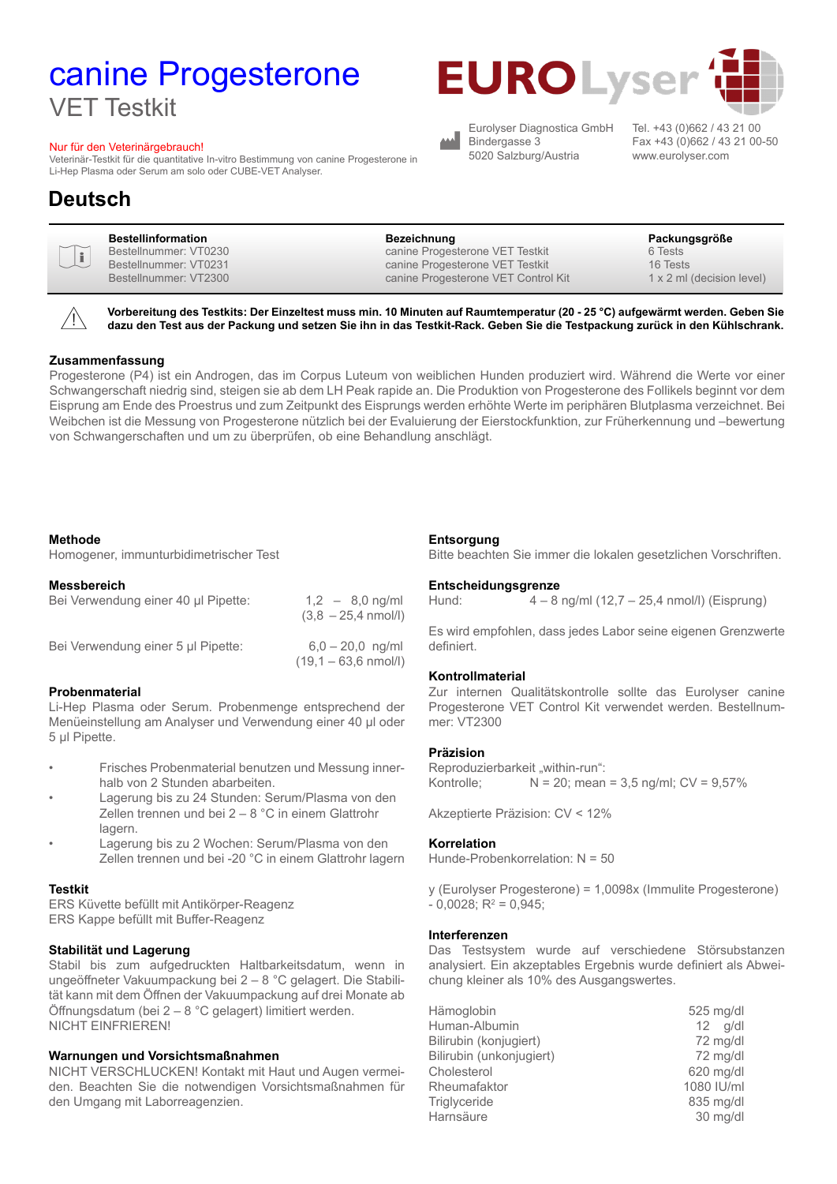# canine Progesterone VET Testkit

#### Nur für den Veterinärgebrauch!

Veterinär-Testkit für die quantitative In-vitro Bestimmung von canine Progesterone in Li-Hep Plasma oder Serum am solo oder CUBE-VET Analyser.

### **Deutsch**

|--|



**Vorbereitung des Testkits: Der Einzeltest muss min. 10 Minuten auf Raumtemperatur (20 - 25 °C) aufgewärmt werden. Geben Sie dazu den Test aus der Packung und setzen Sie ihn in das Testkit-Rack. Geben Sie die Testpackung zurück in den Kühlschrank.**

合

#### **Zusammenfassung**

Progesterone (P4) ist ein Androgen, das im Corpus Luteum von weiblichen Hunden produziert wird. Während die Werte vor einer Schwangerschaft niedrig sind, steigen sie ab dem LH Peak rapide an. Die Produktion von Progesterone des Follikels beginnt vor dem Eisprung am Ende des Proestrus und zum Zeitpunkt des Eisprungs werden erhöhte Werte im periphären Blutplasma verzeichnet. Bei Weibchen ist die Messung von Progesterone nützlich bei der Evaluierung der Eierstockfunktion, zur Früherkennung und –bewertung von Schwangerschaften und um zu überprüfen, ob eine Behandlung anschlägt.

#### **Methode**

Homogener, immunturbidimetrischer Test

#### **Messbereich**

| Bei Verwendung einer 40 µl Pipette: | $1,2 - 8,0$ ng/ml<br>$(3.8 - 25.4 \text{ nmol/l})$   |
|-------------------------------------|------------------------------------------------------|
| Bei Verwendung einer 5 µl Pipette:  | $6.0 - 20.0$ ng/ml<br>$(19,1 - 63,6 \text{ nmol/l})$ |

#### **Probenmaterial**

Li-Hep Plasma oder Serum. Probenmenge entsprechend der Menüeinstellung am Analyser und Verwendung einer 40 µl oder 5 µl Pipette.

- Frisches Probenmaterial benutzen und Messung innerhalb von 2 Stunden abarbeiten.
- Lagerung bis zu 24 Stunden: Serum/Plasma von den Zellen trennen und bei 2 – 8 °C in einem Glattrohr lagern.
- Lagerung bis zu 2 Wochen: Serum/Plasma von den Zellen trennen und bei -20 °C in einem Glattrohr lagern

#### **Testkit**

ERS Küvette befüllt mit Antikörper-Reagenz ERS Kappe befüllt mit Buffer-Reagenz

#### **Stabilität und Lagerung**

Stabil bis zum aufgedruckten Haltbarkeitsdatum, wenn in ungeöffneter Vakuumpackung bei 2 – 8 °C gelagert. Die Stabilität kann mit dem Öffnen der Vakuumpackung auf drei Monate ab Öffnungsdatum (bei 2 – 8 °C gelagert) limitiert werden. NICHT EINFRIEREN!

#### **Warnungen und Vorsichtsmaßnahmen**

NICHT VERSCHLUCKEN! Kontakt mit Haut und Augen vermeiden. Beachten Sie die notwendigen Vorsichtsmaßnahmen für den Umgang mit Laborreagenzien.

#### **Entsorgung**

Bitte beachten Sie immer die lokalen gesetzlichen Vorschriften.

#### **Entscheidungsgrenze**

Hund: 4 – 8 ng/ml (12,7 – 25,4 nmol/l) (Eisprung)

Es wird empfohlen, dass jedes Labor seine eigenen Grenzwerte definiert.

#### **Kontrollmaterial**

Zur internen Qualitätskontrolle sollte das Eurolyser canine Progesterone VET Control Kit verwendet werden. Bestellnummer: VT2300

#### **Präzision**

Reproduzierbarkeit "within-run": Kontrolle;  $N = 20$ ; mean = 3,5 ng/ml;  $CV = 9,57\%$ 

Akzeptierte Präzision: CV < 12%

#### **Korrelation**

Hunde-Probenkorrelation: N = 50

y (Eurolyser Progesterone) = 1,0098x (Immulite Progesterone)  $-0,0028; R^2 = 0,945;$ 

#### **Interferenzen**

Das Testsystem wurde auf verschiedene Störsubstanzen analysiert. Ein akzeptables Ergebnis wurde definiert als Abweichung kleiner als 10% des Ausgangswertes.

| Hämoglobin               | 525 mg/dl       |
|--------------------------|-----------------|
| Human-Albumin            | $12 \quad q/dl$ |
| Bilirubin (konjugiert)   | 72 mg/dl        |
| Bilirubin (unkonjugiert) | 72 mg/dl        |
| Cholesterol              | 620 mg/dl       |
| Rheumafaktor             | 1080 IU/ml      |
| Triglyceride             | 835 mg/dl       |
| Harnsäure                | 30 mg/dl        |



Eurolyser Diagnostica GmbH Bindergasse 3 5020 Salzburg/Austria

Tel. +43 (0)662 / 43 21 00 Fax +43 (0)662 / 43 21 00-50 www.eurolyser.com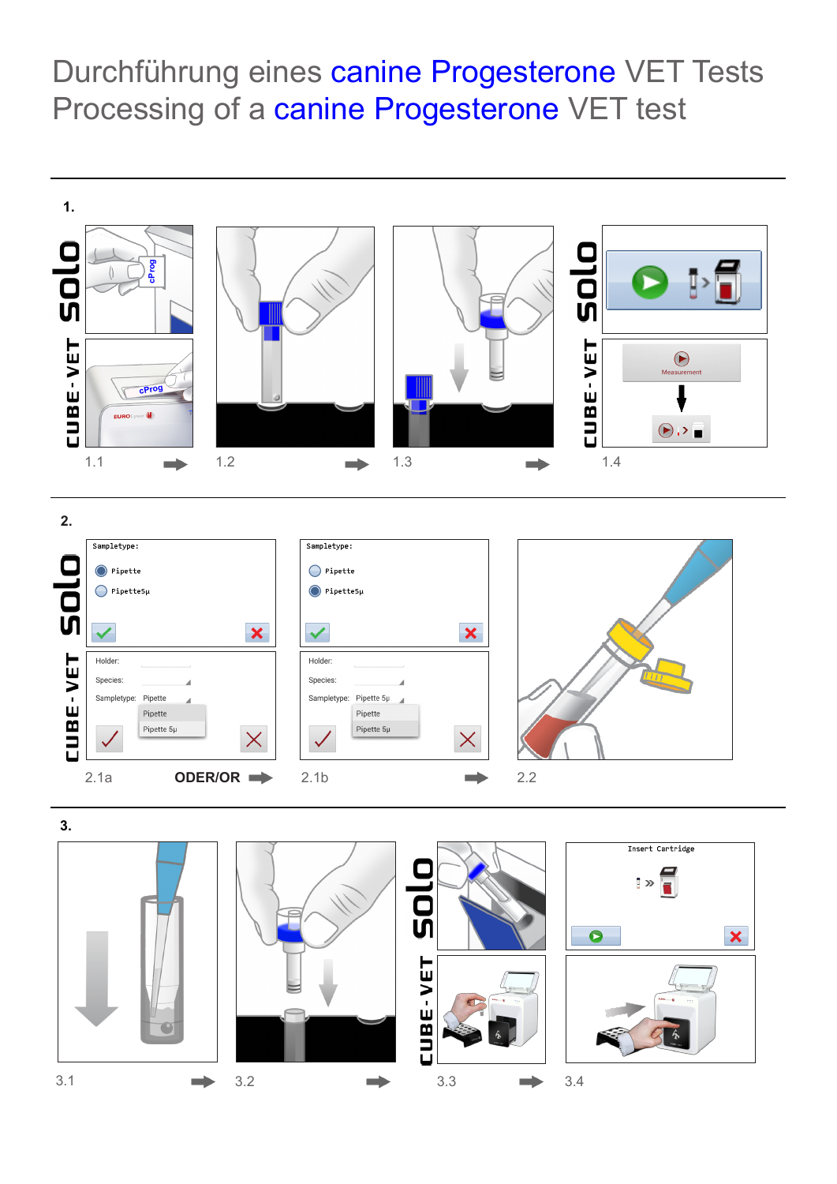Durchführung eines canine Progesterone VET Tests Processing of a canine Progesterone VET test